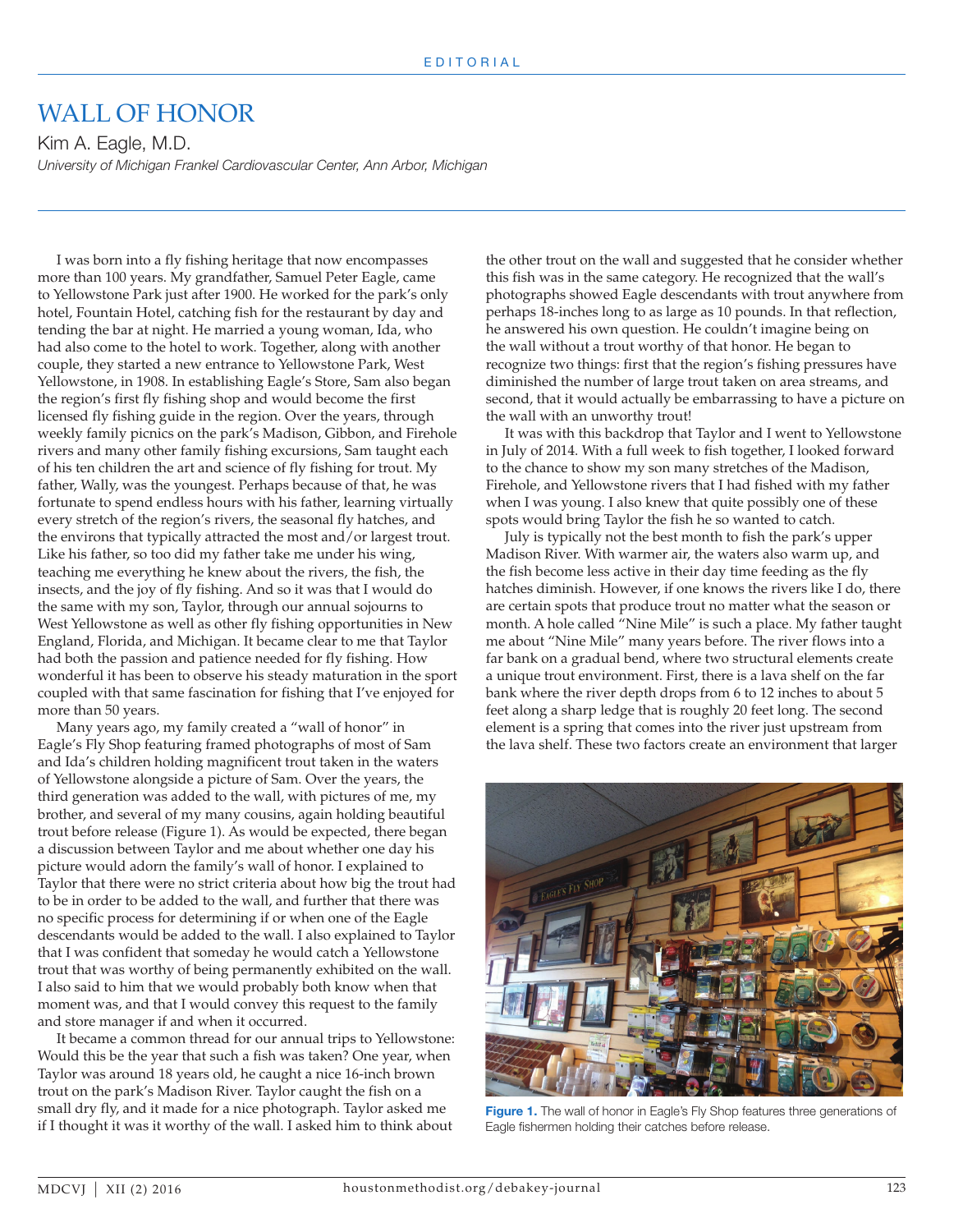## WALL OF HONOR

Kim A. Eagle, M.D. *University of Michigan Frankel Cardiovascular Center, Ann Arbor, Michigan*

I was born into a fly fishing heritage that now encompasses more than 100 years. My grandfather, Samuel Peter Eagle, came to Yellowstone Park just after 1900. He worked for the park's only hotel, Fountain Hotel, catching fish for the restaurant by day and tending the bar at night. He married a young woman, Ida, who had also come to the hotel to work. Together, along with another couple, they started a new entrance to Yellowstone Park, West Yellowstone, in 1908. In establishing Eagle's Store, Sam also began the region's first fly fishing shop and would become the first licensed fly fishing guide in the region. Over the years, through weekly family picnics on the park's Madison, Gibbon, and Firehole rivers and many other family fishing excursions, Sam taught each of his ten children the art and science of fly fishing for trout. My father, Wally, was the youngest. Perhaps because of that, he was fortunate to spend endless hours with his father, learning virtually every stretch of the region's rivers, the seasonal fly hatches, and the environs that typically attracted the most and/or largest trout. Like his father, so too did my father take me under his wing, teaching me everything he knew about the rivers, the fish, the insects, and the joy of fly fishing. And so it was that I would do the same with my son, Taylor, through our annual sojourns to West Yellowstone as well as other fly fishing opportunities in New England, Florida, and Michigan. It became clear to me that Taylor had both the passion and patience needed for fly fishing. How wonderful it has been to observe his steady maturation in the sport coupled with that same fascination for fishing that I've enjoyed for more than 50 years.

Many years ago, my family created a "wall of honor" in Eagle's Fly Shop featuring framed photographs of most of Sam and Ida's children holding magnificent trout taken in the waters of Yellowstone alongside a picture of Sam. Over the years, the third generation was added to the wall, with pictures of me, my brother, and several of my many cousins, again holding beautiful trout before release (Figure 1). As would be expected, there began a discussion between Taylor and me about whether one day his picture would adorn the family's wall of honor. I explained to Taylor that there were no strict criteria about how big the trout had to be in order to be added to the wall, and further that there was no specific process for determining if or when one of the Eagle descendants would be added to the wall. I also explained to Taylor that I was confident that someday he would catch a Yellowstone trout that was worthy of being permanently exhibited on the wall. I also said to him that we would probably both know when that moment was, and that I would convey this request to the family and store manager if and when it occurred.

It became a common thread for our annual trips to Yellowstone: Would this be the year that such a fish was taken? One year, when Taylor was around 18 years old, he caught a nice 16-inch brown trout on the park's Madison River. Taylor caught the fish on a small dry fly, and it made for a nice photograph. Taylor asked me if I thought it was it worthy of the wall. I asked him to think about

the other trout on the wall and suggested that he consider whether this fish was in the same category. He recognized that the wall's photographs showed Eagle descendants with trout anywhere from perhaps 18-inches long to as large as 10 pounds. In that reflection, he answered his own question. He couldn't imagine being on the wall without a trout worthy of that honor. He began to recognize two things: first that the region's fishing pressures have diminished the number of large trout taken on area streams, and second, that it would actually be embarrassing to have a picture on the wall with an unworthy trout!

It was with this backdrop that Taylor and I went to Yellowstone in July of 2014. With a full week to fish together, I looked forward to the chance to show my son many stretches of the Madison, Firehole, and Yellowstone rivers that I had fished with my father when I was young. I also knew that quite possibly one of these spots would bring Taylor the fish he so wanted to catch.

July is typically not the best month to fish the park's upper Madison River. With warmer air, the waters also warm up, and the fish become less active in their day time feeding as the fly hatches diminish. However, if one knows the rivers like I do, there are certain spots that produce trout no matter what the season or month. A hole called "Nine Mile" is such a place. My father taught me about "Nine Mile" many years before. The river flows into a far bank on a gradual bend, where two structural elements create a unique trout environment. First, there is a lava shelf on the far bank where the river depth drops from 6 to 12 inches to about 5 feet along a sharp ledge that is roughly 20 feet long. The second element is a spring that comes into the river just upstream from the lava shelf. These two factors create an environment that larger



**Figure 1.** The wall of honor in Eagle's Fly Shop features three generations of Eagle fishermen holding their catches before release.